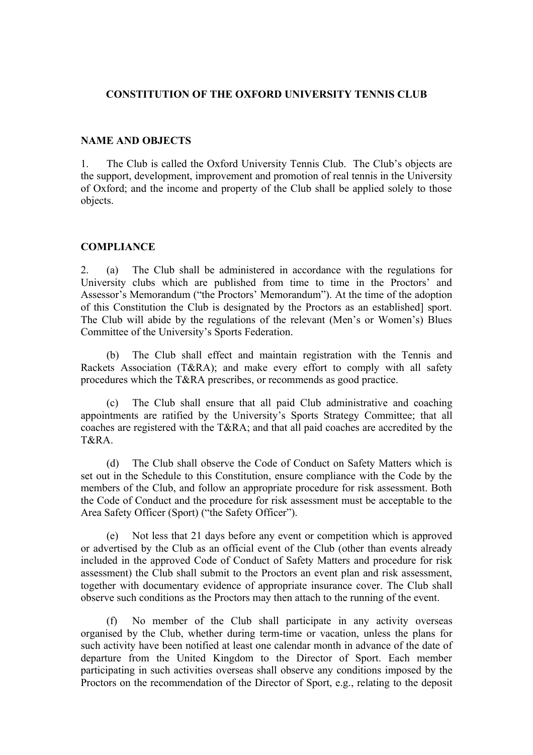## **CONSTITUTION OF THE OXFORD UNIVERSITY TENNIS CLUB**

### **NAME AND OBJECTS**

1. The Club is called the Oxford University Tennis Club. The Club's objects are the support, development, improvement and promotion of real tennis in the University of Oxford; and the income and property of the Club shall be applied solely to those objects.

## **COMPLIANCE**

2. (a) The Club shall be administered in accordance with the regulations for University clubs which are published from time to time in the Proctors' and Assessor's Memorandum ("the Proctors' Memorandum"). At the time of the adoption of this Constitution the Club is designated by the Proctors as an established] sport. The Club will abide by the regulations of the relevant (Men's or Women's) Blues Committee of the University's Sports Federation.

(b) The Club shall effect and maintain registration with the Tennis and Rackets Association (T&RA); and make every effort to comply with all safety procedures which the T&RA prescribes, or recommends as good practice.

(c) The Club shall ensure that all paid Club administrative and coaching appointments are ratified by the University's Sports Strategy Committee; that all coaches are registered with the T&RA; and that all paid coaches are accredited by the T&RA.

(d) The Club shall observe the Code of Conduct on Safety Matters which is set out in the Schedule to this Constitution, ensure compliance with the Code by the members of the Club, and follow an appropriate procedure for risk assessment. Both the Code of Conduct and the procedure for risk assessment must be acceptable to the Area Safety Officer (Sport) ("the Safety Officer").

(e) Not less that 21 days before any event or competition which is approved or advertised by the Club as an official event of the Club (other than events already included in the approved Code of Conduct of Safety Matters and procedure for risk assessment) the Club shall submit to the Proctors an event plan and risk assessment, together with documentary evidence of appropriate insurance cover. The Club shall observe such conditions as the Proctors may then attach to the running of the event.

No member of the Club shall participate in any activity overseas organised by the Club, whether during term-time or vacation, unless the plans for such activity have been notified at least one calendar month in advance of the date of departure from the United Kingdom to the Director of Sport. Each member participating in such activities overseas shall observe any conditions imposed by the Proctors on the recommendation of the Director of Sport, e.g., relating to the deposit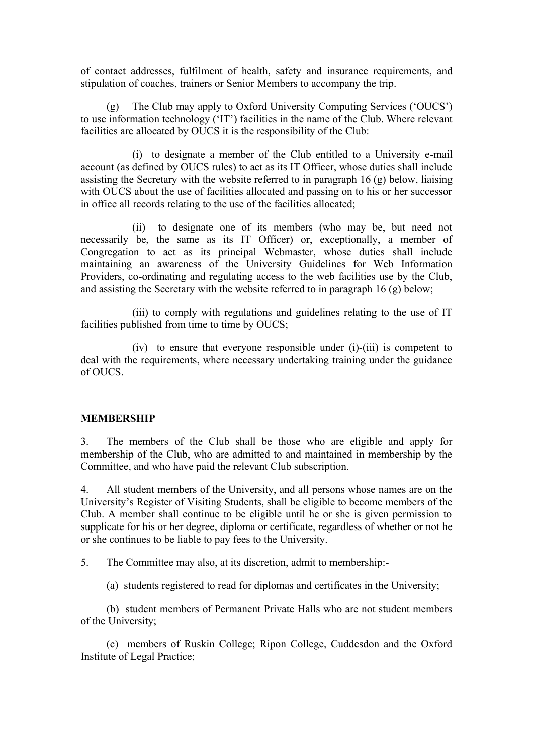of contact addresses, fulfilment of health, safety and insurance requirements, and stipulation of coaches, trainers or Senior Members to accompany the trip.

(g) The Club may apply to Oxford University Computing Services ('OUCS') to use information technology ('IT') facilities in the name of the Club. Where relevant facilities are allocated by OUCS it is the responsibility of the Club:

(i) to designate a member of the Club entitled to a University e-mail account (as defined by OUCS rules) to act as its IT Officer, whose duties shall include assisting the Secretary with the website referred to in paragraph 16 (g) below, liaising with OUCS about the use of facilities allocated and passing on to his or her successor in office all records relating to the use of the facilities allocated;

(ii) to designate one of its members (who may be, but need not necessarily be, the same as its IT Officer) or, exceptionally, a member of Congregation to act as its principal Webmaster, whose duties shall include maintaining an awareness of the University Guidelines for Web Information Providers, co-ordinating and regulating access to the web facilities use by the Club, and assisting the Secretary with the website referred to in paragraph 16 (g) below;

(iii) to comply with regulations and guidelines relating to the use of IT facilities published from time to time by OUCS;

(iv) to ensure that everyone responsible under (i)-(iii) is competent to deal with the requirements, where necessary undertaking training under the guidance of OUCS.

## **MEMBERSHIP**

3. The members of the Club shall be those who are eligible and apply for membership of the Club, who are admitted to and maintained in membership by the Committee, and who have paid the relevant Club subscription.

4. All student members of the University, and all persons whose names are on the University's Register of Visiting Students, shall be eligible to become members of the Club. A member shall continue to be eligible until he or she is given permission to supplicate for his or her degree, diploma or certificate, regardless of whether or not he or she continues to be liable to pay fees to the University.

5. The Committee may also, at its discretion, admit to membership:-

(a) students registered to read for diplomas and certificates in the University;

(b) student members of Permanent Private Halls who are not student members of the University;

(c) members of Ruskin College; Ripon College, Cuddesdon and the Oxford Institute of Legal Practice;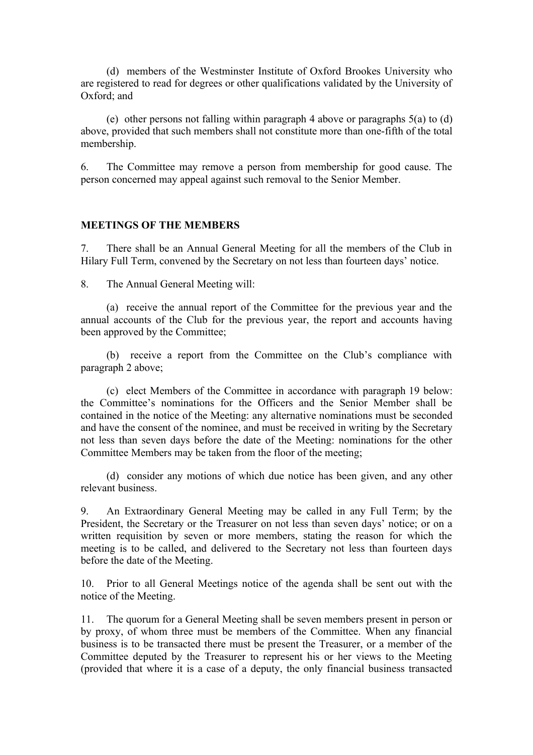(d) members of the Westminster Institute of Oxford Brookes University who are registered to read for degrees or other qualifications validated by the University of Oxford; and

(e) other persons not falling within paragraph 4 above or paragraphs 5(a) to (d) above, provided that such members shall not constitute more than one-fifth of the total membership.

6. The Committee may remove a person from membership for good cause. The person concerned may appeal against such removal to the Senior Member.

#### **MEETINGS OF THE MEMBERS**

7. There shall be an Annual General Meeting for all the members of the Club in Hilary Full Term, convened by the Secretary on not less than fourteen days' notice.

8. The Annual General Meeting will:

(a) receive the annual report of the Committee for the previous year and the annual accounts of the Club for the previous year, the report and accounts having been approved by the Committee;

(b) receive a report from the Committee on the Club's compliance with paragraph 2 above;

(c) elect Members of the Committee in accordance with paragraph 19 below: the Committee's nominations for the Officers and the Senior Member shall be contained in the notice of the Meeting: any alternative nominations must be seconded and have the consent of the nominee, and must be received in writing by the Secretary not less than seven days before the date of the Meeting: nominations for the other Committee Members may be taken from the floor of the meeting;

(d) consider any motions of which due notice has been given, and any other relevant business.

9. An Extraordinary General Meeting may be called in any Full Term; by the President, the Secretary or the Treasurer on not less than seven days' notice; or on a written requisition by seven or more members, stating the reason for which the meeting is to be called, and delivered to the Secretary not less than fourteen days before the date of the Meeting.

10. Prior to all General Meetings notice of the agenda shall be sent out with the notice of the Meeting.

11. The quorum for a General Meeting shall be seven members present in person or by proxy, of whom three must be members of the Committee. When any financial business is to be transacted there must be present the Treasurer, or a member of the Committee deputed by the Treasurer to represent his or her views to the Meeting (provided that where it is a case of a deputy, the only financial business transacted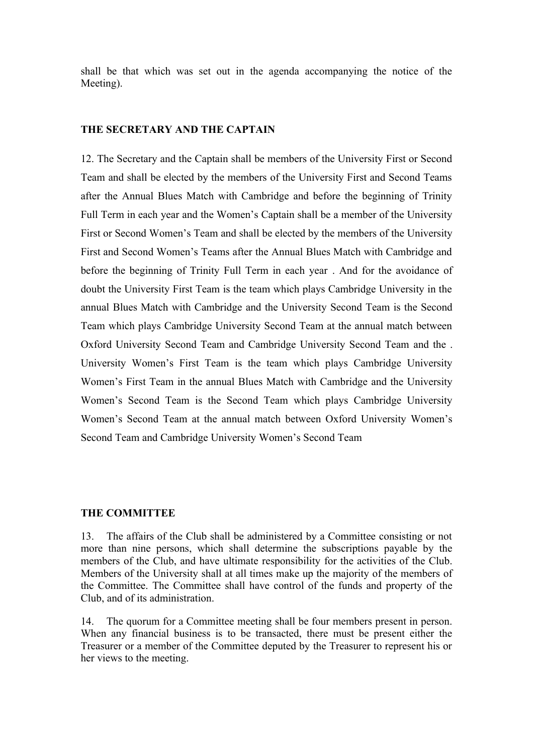shall be that which was set out in the agenda accompanying the notice of the Meeting).

#### **THE SECRETARY AND THE CAPTAIN**

12. The Secretary and the Captain shall be members of the University First or Second Team and shall be elected by the members of the University First and Second Teams after the Annual Blues Match with Cambridge and before the beginning of Trinity Full Term in each year and the Women's Captain shall be a member of the University First or Second Women's Team and shall be elected by the members of the University First and Second Women's Teams after the Annual Blues Match with Cambridge and before the beginning of Trinity Full Term in each year . And for the avoidance of doubt the University First Team is the team which plays Cambridge University in the annual Blues Match with Cambridge and the University Second Team is the Second Team which plays Cambridge University Second Team at the annual match between Oxford University Second Team and Cambridge University Second Team and the . University Women's First Team is the team which plays Cambridge University Women's First Team in the annual Blues Match with Cambridge and the University Women's Second Team is the Second Team which plays Cambridge University Women's Second Team at the annual match between Oxford University Women's Second Team and Cambridge University Women's Second Team

#### **THE COMMITTEE**

13. The affairs of the Club shall be administered by a Committee consisting or not more than nine persons, which shall determine the subscriptions payable by the members of the Club, and have ultimate responsibility for the activities of the Club. Members of the University shall at all times make up the majority of the members of the Committee. The Committee shall have control of the funds and property of the Club, and of its administration.

14. The quorum for a Committee meeting shall be four members present in person. When any financial business is to be transacted, there must be present either the Treasurer or a member of the Committee deputed by the Treasurer to represent his or her views to the meeting.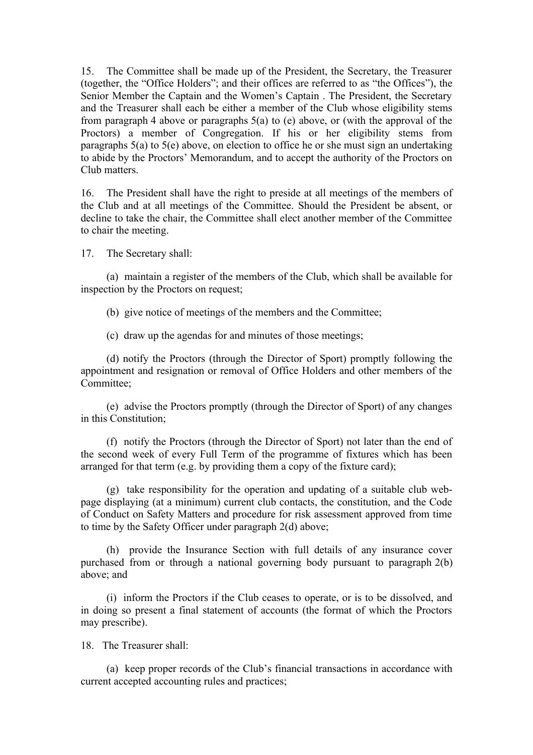15. The Committee shall be made up of the President, the Secretary, the Treasurer (together, the "Office Holders"; and their offices are referred to as "the Offices"), the Senior Member the Captain and the Women's Captain . The President, the Secretary and the Treasurer shall each be either a member of the Club whose eligibility stems from paragraph 4 above or paragraphs  $5(a)$  to (e) above, or (with the approval of the Proctors) a member of Congregation. If his or her eligibility stems from paragraphs 5(a) to 5(e) above, on election to office he or she must sign an undertaking to abide by the Proctors' Memorandum, and to accept the authority of the Proctors on Club matters.

16. The President shall have the right to preside at all meetings of the members of the Club and at all meetings of the Committee. Should the President be absent, or decline to take the chair, the Committee shall elect another member of the Committee to chair the meeting.

17. The Secretary shall:

(a) maintain a register of the members of the Club, which shall be available for inspection by the Proctors on request;

(b) give notice of meetings of the members and the Committee;

(c) draw up the agendas for and minutes of those meetings;

(d) notify the Proctors (through the Director of Sport) promptly following the appointment and resignation or removal of Office Holders and other members of the Committee;

(e) advise the Proctors promptly (through the Director of Sport) of any changes in this Constitution;

(f) notify the Proctors (through the Director of Sport) not later than the end of the second week of every Full Term of the programme of fixtures which has been arranged for that term (e.g. by providing them a copy of the fixture card);

(g) take responsibility for the operation and updating of a suitable club webpage displaying (at a minimum) current club contacts, the constitution, and the Code of Conduct on Safety Matters and procedure for risk assessment approved from time to time by the Safety Officer under paragraph 2(d) above;

(h) provide the Insurance Section with full details of any insurance cover purchased from or through a national governing body pursuant to paragraph 2(b) above; and

(i) inform the Proctors if the Club ceases to operate, or is to be dissolved, and in doing so present a final statement of accounts (the format of which the Proctors may prescribe).

18. The Treasurer shall:

(a) keep proper records of the Club's financial transactions in accordance with current accepted accounting rules and practices;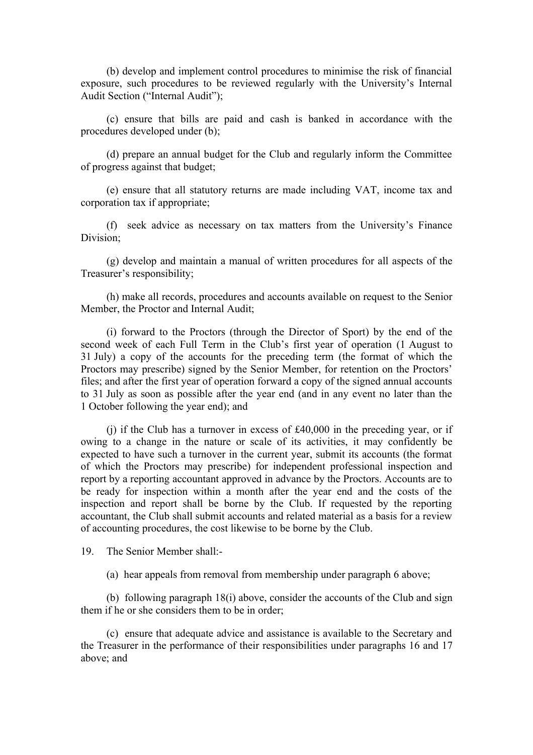(b) develop and implement control procedures to minimise the risk of financial exposure, such procedures to be reviewed regularly with the University's Internal Audit Section ("Internal Audit");

(c) ensure that bills are paid and cash is banked in accordance with the procedures developed under (b);

(d) prepare an annual budget for the Club and regularly inform the Committee of progress against that budget;

(e) ensure that all statutory returns are made including VAT, income tax and corporation tax if appropriate;

(f) seek advice as necessary on tax matters from the University's Finance Division;

(g) develop and maintain a manual of written procedures for all aspects of the Treasurer's responsibility;

(h) make all records, procedures and accounts available on request to the Senior Member, the Proctor and Internal Audit;

(i) forward to the Proctors (through the Director of Sport) by the end of the second week of each Full Term in the Club's first year of operation (1 August to 31 July) a copy of the accounts for the preceding term (the format of which the Proctors may prescribe) signed by the Senior Member, for retention on the Proctors' files; and after the first year of operation forward a copy of the signed annual accounts to 31 July as soon as possible after the year end (and in any event no later than the 1 October following the year end); and

(j) if the Club has a turnover in excess of £40,000 in the preceding year, or if owing to a change in the nature or scale of its activities, it may confidently be expected to have such a turnover in the current year, submit its accounts (the format of which the Proctors may prescribe) for independent professional inspection and report by a reporting accountant approved in advance by the Proctors. Accounts are to be ready for inspection within a month after the year end and the costs of the inspection and report shall be borne by the Club. If requested by the reporting accountant, the Club shall submit accounts and related material as a basis for a review of accounting procedures, the cost likewise to be borne by the Club.

19. The Senior Member shall:-

(a) hear appeals from removal from membership under paragraph 6 above;

(b) following paragraph 18(i) above, consider the accounts of the Club and sign them if he or she considers them to be in order;

(c) ensure that adequate advice and assistance is available to the Secretary and the Treasurer in the performance of their responsibilities under paragraphs 16 and 17 above; and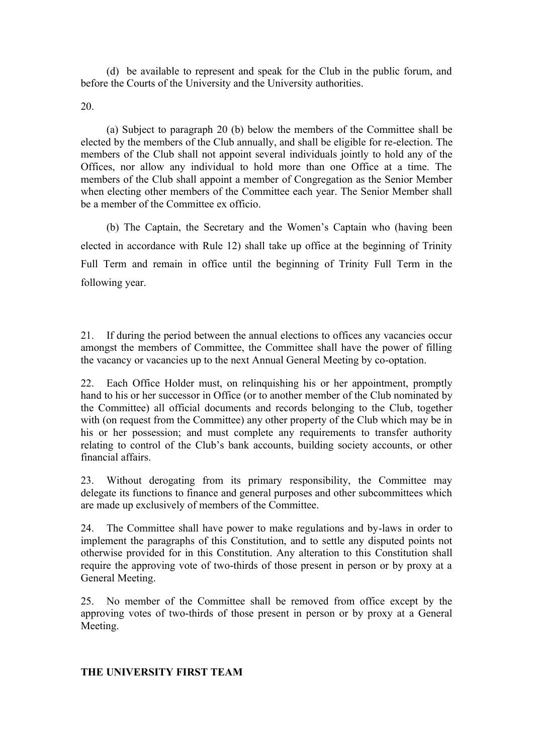(d) be available to represent and speak for the Club in the public forum, and before the Courts of the University and the University authorities.

20.

(a) Subject to paragraph 20 (b) below the members of the Committee shall be elected by the members of the Club annually, and shall be eligible for re-election. The members of the Club shall not appoint several individuals jointly to hold any of the Offices, nor allow any individual to hold more than one Office at a time. The members of the Club shall appoint a member of Congregation as the Senior Member when electing other members of the Committee each year. The Senior Member shall be a member of the Committee ex officio.

(b) The Captain, the Secretary and the Women's Captain who (having been elected in accordance with Rule 12) shall take up office at the beginning of Trinity Full Term and remain in office until the beginning of Trinity Full Term in the following year.

21. If during the period between the annual elections to offices any vacancies occur amongst the members of Committee, the Committee shall have the power of filling the vacancy or vacancies up to the next Annual General Meeting by co-optation.

22. Each Office Holder must, on relinquishing his or her appointment, promptly hand to his or her successor in Office (or to another member of the Club nominated by the Committee) all official documents and records belonging to the Club, together with (on request from the Committee) any other property of the Club which may be in his or her possession; and must complete any requirements to transfer authority relating to control of the Club's bank accounts, building society accounts, or other financial affairs.

23. Without derogating from its primary responsibility, the Committee may delegate its functions to finance and general purposes and other subcommittees which are made up exclusively of members of the Committee.

24. The Committee shall have power to make regulations and by-laws in order to implement the paragraphs of this Constitution, and to settle any disputed points not otherwise provided for in this Constitution. Any alteration to this Constitution shall require the approving vote of two-thirds of those present in person or by proxy at a General Meeting.

25. No member of the Committee shall be removed from office except by the approving votes of two-thirds of those present in person or by proxy at a General Meeting.

## **THE UNIVERSITY FIRST TEAM**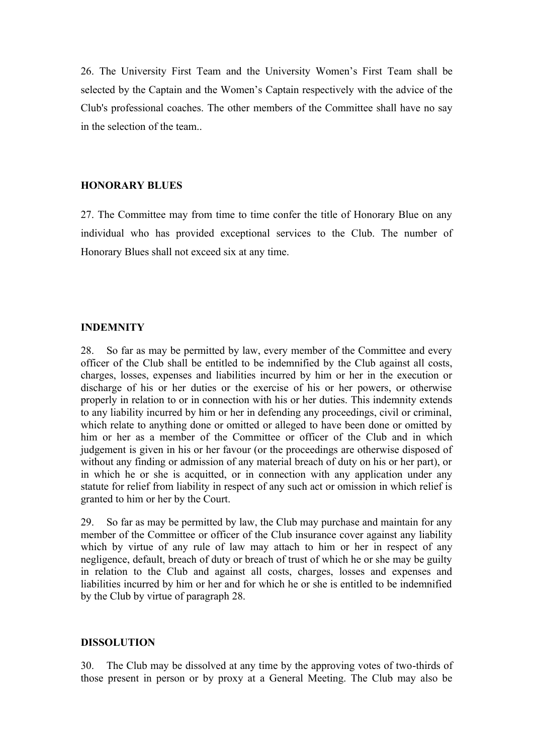26. The University First Team and the University Women's First Team shall be selected by the Captain and the Women's Captain respectively with the advice of the Club's professional coaches. The other members of the Committee shall have no say in the selection of the team..

## **HONORARY BLUES**

27. The Committee may from time to time confer the title of Honorary Blue on any individual who has provided exceptional services to the Club. The number of Honorary Blues shall not exceed six at any time.

## **INDEMNITY**

28. So far as may be permitted by law, every member of the Committee and every officer of the Club shall be entitled to be indemnified by the Club against all costs, charges, losses, expenses and liabilities incurred by him or her in the execution or discharge of his or her duties or the exercise of his or her powers, or otherwise properly in relation to or in connection with his or her duties. This indemnity extends to any liability incurred by him or her in defending any proceedings, civil or criminal, which relate to anything done or omitted or alleged to have been done or omitted by him or her as a member of the Committee or officer of the Club and in which judgement is given in his or her favour (or the proceedings are otherwise disposed of without any finding or admission of any material breach of duty on his or her part), or in which he or she is acquitted, or in connection with any application under any statute for relief from liability in respect of any such act or omission in which relief is granted to him or her by the Court.

29. So far as may be permitted by law, the Club may purchase and maintain for any member of the Committee or officer of the Club insurance cover against any liability which by virtue of any rule of law may attach to him or her in respect of any negligence, default, breach of duty or breach of trust of which he or she may be guilty in relation to the Club and against all costs, charges, losses and expenses and liabilities incurred by him or her and for which he or she is entitled to be indemnified by the Club by virtue of paragraph 28.

## **DISSOLUTION**

30. The Club may be dissolved at any time by the approving votes of two-thirds of those present in person or by proxy at a General Meeting. The Club may also be